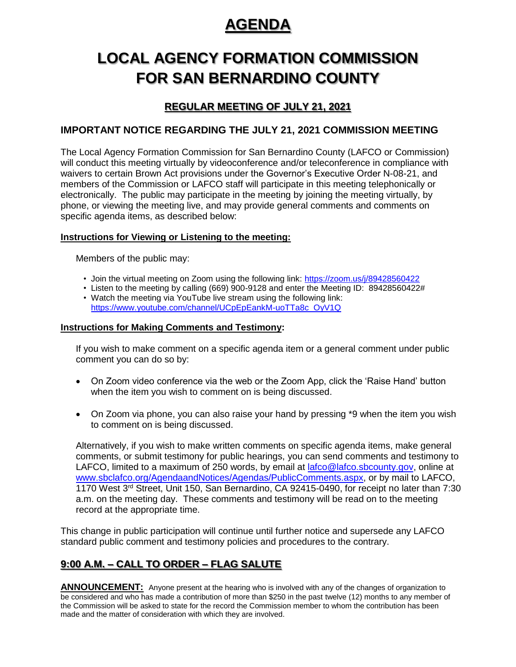# **AGENDA**

# **LOCAL AGENCY FORMATION COMMISSION FOR SAN BERNARDINO COUNTY**

## **REGULAR MEETING OF JULY 21, 2021**

### **IMPORTANT NOTICE REGARDING THE JULY 21, 2021 COMMISSION MEETING**

The Local Agency Formation Commission for San Bernardino County (LAFCO or Commission) will conduct this meeting virtually by videoconference and/or teleconference in compliance with waivers to certain Brown Act provisions under the Governor's Executive Order N-08-21, and members of the Commission or LAFCO staff will participate in this meeting telephonically or electronically. The public may participate in the meeting by joining the meeting virtually, by phone, or viewing the meeting live, and may provide general comments and comments on specific agenda items, as described below:

#### **Instructions for Viewing or Listening to the meeting:**

Members of the public may:

- Join the virtual meeting on Zoom using the following link:<https://zoom.us/j/89428560422>
- Listen to the meeting by calling (669) 900-9128 and enter the Meeting ID: 89428560422# • Watch the meeting via YouTube live stream using the following link:

# [https://www.youtube.com/channel/UCpEpEankM-uoTTa8c\\_OyV1Q](https://www.youtube.com/channel/UCpEpEankM-uoTTa8c_OyV1Q)

#### **Instructions for Making Comments and Testimony:**

If you wish to make comment on a specific agenda item or a general comment under public comment you can do so by:

- On Zoom video conference via the web or the Zoom App, click the 'Raise Hand' button when the item you wish to comment on is being discussed.
- On Zoom via phone, you can also raise your hand by pressing \*9 when the item you wish to comment on is being discussed.

Alternatively, if you wish to make written comments on specific agenda items, make general comments, or submit testimony for public hearings, you can send comments and testimony to LAFCO, limited to a maximum of 250 words, by email at [lafco@lafco.sbcounty.gov,](mailto:lafco@lafco.sbcounty.gov) online at [www.sbclafco.org/AgendaandNotices/Agendas/PublicComments.aspx,](http://www.sbclafco.org/AgendaandNotices/Agendas/PublicComments.aspx) or by mail to LAFCO, 1170 West 3<sup>rd</sup> Street, Unit 150, San Bernardino, CA 92415-0490, for receipt no later than 7:30 a.m. on the meeting day. These comments and testimony will be read on to the meeting record at the appropriate time.

This change in public participation will continue until further notice and supersede any LAFCO standard public comment and testimony policies and procedures to the contrary.

### **9:00 A.M. – CALL TO ORDER – FLAG SALUTE**

**ANNOUNCEMENT:** Anyone present at the hearing who is involved with any of the changes of organization to be considered and who has made a contribution of more than \$250 in the past twelve (12) months to any member of the Commission will be asked to state for the record the Commission member to whom the contribution has been made and the matter of consideration with which they are involved.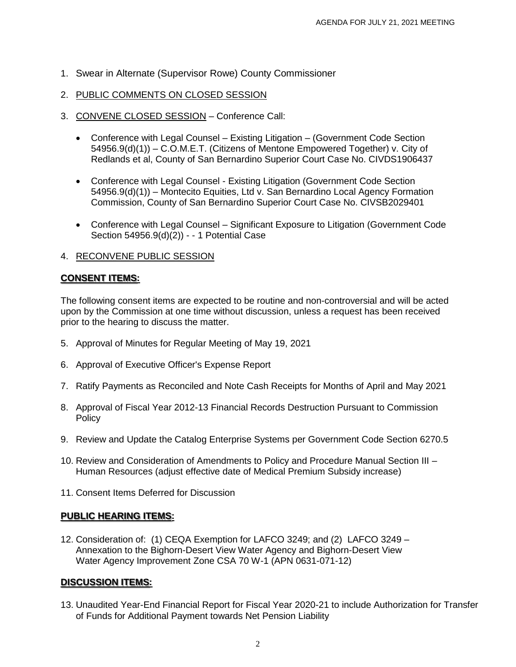- 1. Swear in Alternate (Supervisor Rowe) County Commissioner
- 2. PUBLIC COMMENTS ON CLOSED SESSION
- 3. CONVENE CLOSED SESSION Conference Call:
	- Conference with Legal Counsel Existing Litigation (Government Code Section 54956.9(d)(1)) – C.O.M.E.T. (Citizens of Mentone Empowered Together) v. City of Redlands et al, County of San Bernardino Superior Court Case No. CIVDS1906437
	- Conference with Legal Counsel Existing Litigation (Government Code Section 54956.9(d)(1)) – Montecito Equities, Ltd v. San Bernardino Local Agency Formation Commission, County of San Bernardino Superior Court Case No. CIVSB2029401
	- Conference with Legal Counsel Significant Exposure to Litigation (Government Code Section 54956.9(d)(2)) - - 1 Potential Case

#### 4. RECONVENE PUBLIC SESSION

#### **CONSENT ITEMS:**

The following consent items are expected to be routine and non-controversial and will be acted upon by the Commission at one time without discussion, unless a request has been received prior to the hearing to discuss the matter.

- 5. Approval of Minutes for Regular Meeting of May 19, 2021
- 6. Approval of Executive Officer's Expense Report
- 7. Ratify Payments as Reconciled and Note Cash Receipts for Months of April and May 2021
- 8. Approval of Fiscal Year 2012-13 Financial Records Destruction Pursuant to Commission **Policy**
- 9. Review and Update the Catalog Enterprise Systems per Government Code Section 6270.5
- 10. Review and Consideration of Amendments to Policy and Procedure Manual Section III Human Resources (adjust effective date of Medical Premium Subsidy increase)
- 11. Consent Items Deferred for Discussion

#### **PUBLIC HEARING ITEMS:**

12. Consideration of: (1) CEQA Exemption for LAFCO 3249; and (2) LAFCO 3249 – Annexation to the Bighorn-Desert View Water Agency and Bighorn-Desert View Water Agency Improvement Zone CSA 70 W-1 (APN 0631-071-12)

#### **DISCUSSION ITEMS:**

13. Unaudited Year-End Financial Report for Fiscal Year 2020-21 to include Authorization for Transfer of Funds for Additional Payment towards Net Pension Liability